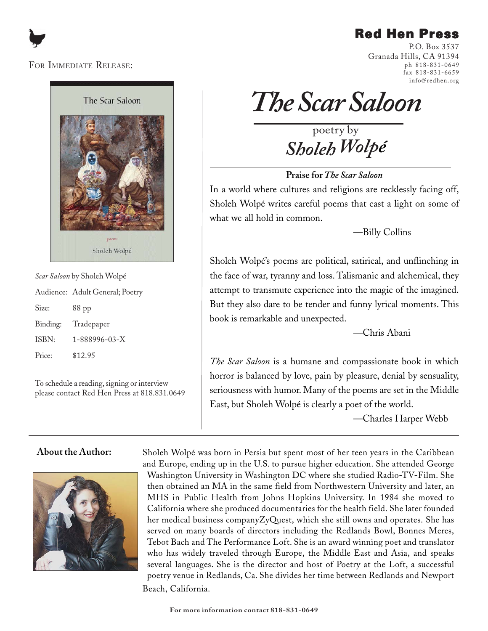# Red Hen Press

### FOR IMMEDIATE RELEASE:



*Scar Saloon* by Sholeh Wolpé

|       | Audience: Adult General; Poetry |
|-------|---------------------------------|
| Size: | $88$ pp                         |

Binding: Tradepaper ISBN: 1-888996-03-X Price: \$12.95

To schedule a reading, signing or interview please contact Red Hen Press at 818.831.0649

P.O. Box 3537 Granada Hills, CA 91394 ph 818-831-0649 fax 818-831-6659 info@redhen.org

*The Scar Saloon*

poetry by *Sholeh Wolpé*

**Praise for** *The Scar Saloon*

In a world where cultures and religions are recklessly facing off, Sholeh Wolpé writes careful poems that cast a light on some of what we all hold in common.

—Billy Collins

Sholeh Wolpé's poems are political, satirical, and unflinching in the face of war, tyranny and loss. Talismanic and alchemical, they attempt to transmute experience into the magic of the imagined. But they also dare to be tender and funny lyrical moments. This book is remarkable and unexpected.

—Chris Abani

*The Scar Saloon* is a humane and compassionate book in which horror is balanced by love, pain by pleasure, denial by sensuality, seriousness with humor. Many of the poems are set in the Middle East, but Sholeh Wolpé is clearly a poet of the world.

—Charles Harper Webb

### **About the Author:**



Sholeh Wolpé was born in Persia but spent most of her teen years in the Caribbean and Europe, ending up in the U.S. to pursue higher education. She attended George Washington University in Washington DC where she studied Radio-TV-Film. She then obtained an MA in the same field from Northwestern University and later, an MHS in Public Health from Johns Hopkins University. In 1984 she moved to California where she produced documentaries for the health field. She later founded her medical business companyZyQuest, which she still owns and operates. She has served on many boards of directors including the Redlands Bowl, Bonnes Meres, Tebot Bach and The Performance Loft. She is an award winning poet and translator who has widely traveled through Europe, the Middle East and Asia, and speaks several languages. She is the director and host of Poetry at the Loft, a successful poetry venue in Redlands, Ca. She divides her time between Redlands and Newport Beach, California.